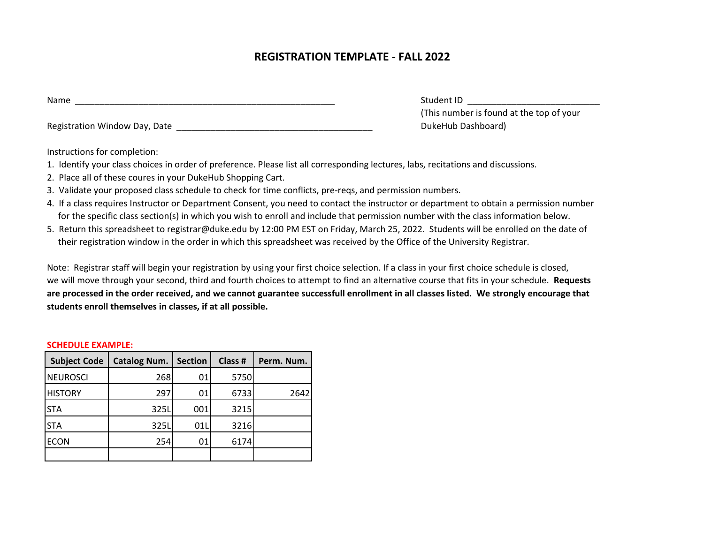## **REGISTRATION TEMPLATE - FALL 2022**

Registration Window Day, Date \_\_\_\_\_\_\_\_\_\_\_\_\_\_\_\_\_\_\_\_\_\_\_\_\_\_\_\_\_\_\_\_\_\_\_\_\_\_\_\_ DukeHub Dashboard)

Student ID  $\Box$ (This number is found at the top of your

Instructions for completion:

- 1. Identify your class choices in order of preference. Please list all corresponding lectures, labs, recitations and discussions.
- 2. Place all of these coures in your DukeHub Shopping Cart.
- 3. Validate your proposed class schedule to check for time conflicts, pre-reqs, and permission numbers.
- 4. If a class requires Instructor or Department Consent, you need to contact the instructor or department to obtain a permission number for the specific class section(s) in which you wish to enroll and include that permission number with the class information below.
- 5. Return this spreadsheet to registrar@duke.edu by 12:00 PM EST on Friday, March 25, 2022. Students will be enrolled on the date of their registration window in the order in which this spreadsheet was received by the Office of the University Registrar.

Note: Registrar staff will begin your registration by using your first choice selection. If a class in your first choice schedule is closed, we will move through your second, third and fourth choices to attempt to find an alternative course that fits in your schedule. **Requests are processed in the order received, and we cannot guarantee successfull enrollment in all classes listed. We strongly encourage that students enroll themselves in classes, if at all possible.**

## **SCHEDULE EXAMPLE:**

| <b>Subject Code</b> | Catalog Num. | <b>Section</b> | Class # | Perm. Num. |
|---------------------|--------------|----------------|---------|------------|
| <b>NEUROSCI</b>     | 268          | 01             | 5750    |            |
| <b>HISTORY</b>      | 297          | 01             | 6733    | 2642       |
| <b>STA</b>          | 325L         | 001            | 3215    |            |
| <b>STA</b>          | 325L         | 01L            | 3216    |            |
| <b>ECON</b>         | 254          | 01             | 6174    |            |
|                     |              |                |         |            |